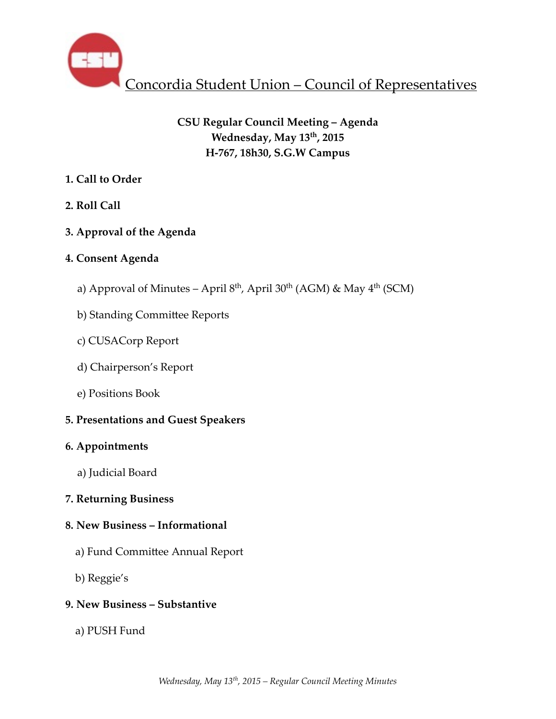

# **CSU Regular Council Meeting – Agenda Wednesday, May 13th, 2015 H-767, 18h30, S.G.W Campus**

# **1. Call to Order**

- **2. Roll Call**
- **3. Approval of the Agenda**

# **4. Consent Agenda**

- a) Approval of Minutes April  $8<sup>th</sup>$ , April 30<sup>th</sup> (AGM) & May  $4<sup>th</sup>$  (SCM)
- b) Standing Committee Reports
- c) CUSACorp Report
- d) Chairperson's Report
- e) Positions Book

# **5. Presentations and Guest Speakers**

# **6. Appointments**

a) Judicial Board

# **7. Returning Business**

# **8. New Business – Informational**

- a) Fund Committee Annual Report
- b) Reggie's

# **9. New Business – Substantive**

a) PUSH Fund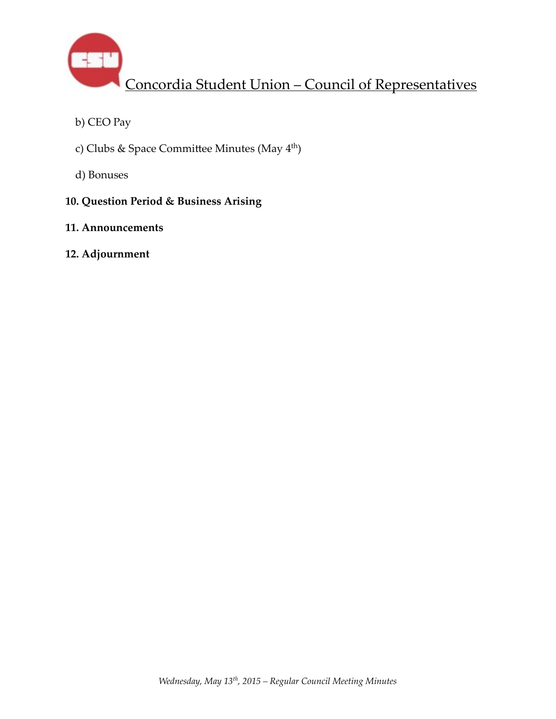

- b) CEO Pay
- c) Clubs & Space Committee Minutes (May 4<sup>th</sup>)
- d) Bonuses

# **10. Question Period & Business Arising**

## **11. Announcements**

## **12. Adjournment**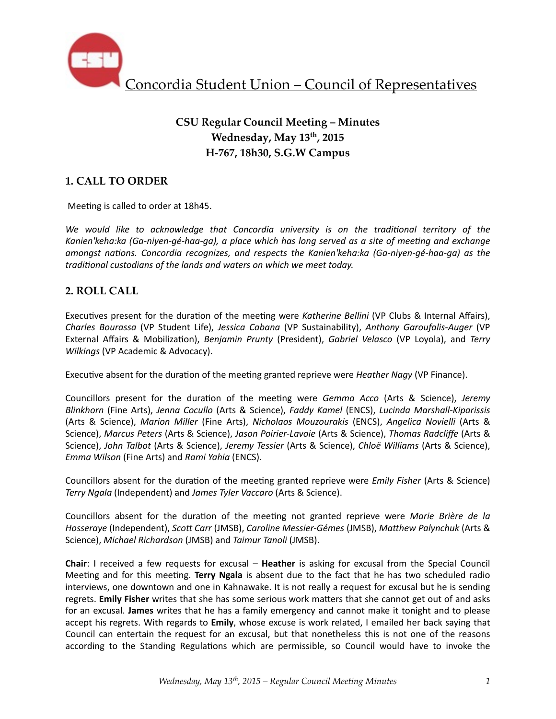

# **CSU Regular Council Meeting – Minutes Wednesday, May 13th, 2015 H-767, 18h30, S.G.W Campus**

## **1. CALL TO ORDER**

Meeting is called to order at 18h45.

We would like to acknowledge that Concordia university is on the traditional territory of the Kanien'keha:ka (Ga-niyen-gé-haa-ga), a place which has long served as a site of meeting and exchange *amongst nations. Concordia recognizes, and respects the Kanien'keha:ka (Ga-niyen-gé-haa-ga)* as the *traditional custodians of the lands and waters on which we meet today.* 

### **2. ROLL CALL**

Executives present for the duration of the meeting were *Katherine Bellini* (VP Clubs & Internal Affairs), *Charles Bourassa* (VP Student Life), *Jessica Cabana* (VP Sustainability), *Anthony Garoufalis-Auger* (VP External Affairs & Mobilization), *Benjamin Prunty* (President), *Gabriel Velasco* (VP Loyola), and *Terry Wilkings* (VP Academic & Advocacy).

Executive absent for the duration of the meeting granted reprieve were *Heather Nagy* (VP Finance).

Councillors present for the duration of the meeting were *Gemma Acco* (Arts & Science), Jeremy *Blinkhorn* (Fine Arts), *Jenna Cocullo* (Arts & Science), *Faddy Kamel* (ENCS), *Lucinda Marshall-Kiparissis*  (Arts & Science), *Marion Miller*  (Fine Arts), *Nicholaos Mouzourakis*  (ENCS), *Angelica Novielli*  (Arts & Science), *Marcus Peters* (Arts & Science), Jason Poirier-Lavoie (Arts & Science), Thomas Radcliffe (Arts & Science), *John Talbot* (Arts & Science), *Jeremy Tessier* (Arts & Science), *Chloë Williams* (Arts & Science), *Emma Wilson* (Fine Arts) and *Rami Yahia* (ENCS). 

Councillors absent for the duration of the meeting granted reprieve were *Emily Fisher* (Arts & Science) *Terry Ngala* (Independent) and *James Tyler Vaccaro* (Arts & Science).

Councillors absent for the duration of the meeting not granted reprieve were Marie Brière de la *Hosseraye* (Independent), *Scott Carr* (JMSB), *Caroline Messier-Gémes* (JMSB), *Matthew Palynchuk* (Arts & Science), *Michael Richardson* (JMSB) and *Taimur Tanoli* (JMSB).

**Chair**: I received a few requests for excusal – **Heather** is asking for excusal from the Special Council Meeting and for this meeting. **Terry Ngala** is absent due to the fact that he has two scheduled radio interviews, one downtown and one in Kahnawake. It is not really a request for excusal but he is sending regrets. **Emily Fisher** writes that she has some serious work matters that she cannot get out of and asks for an excusal. **James** writes that he has a family emergency and cannot make it tonight and to please accept his regrets. With regards to **Emily**, whose excuse is work related, I emailed her back saying that Council can entertain the request for an excusal, but that nonetheless this is not one of the reasons according to the Standing Regulations which are permissible, so Council would have to invoke the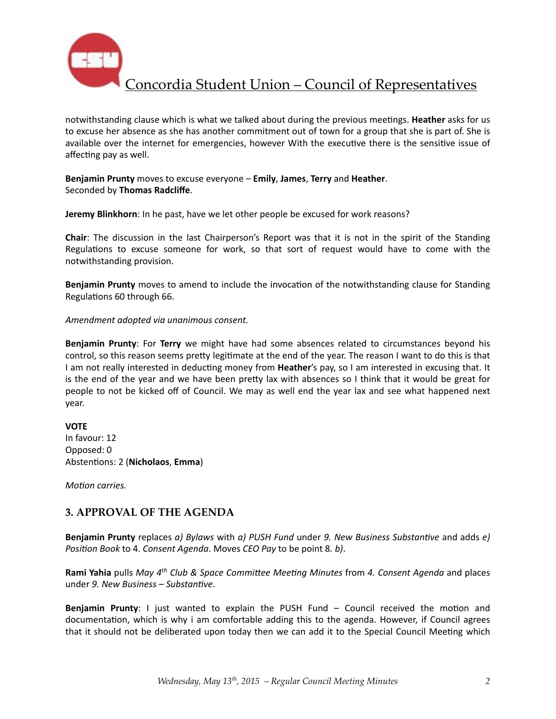

notwithstanding clause which is what we talked about during the previous meetings. Heather asks for us to excuse her absence as she has another commitment out of town for a group that she is part of. She is available over the internet for emergencies, however With the executive there is the sensitive issue of affecting pay as well.

#### **Benjamin Prunty** moves to excuse everyone – **Emily**, James, Terry and Heather. Seconded by **Thomas Radcliffe**.

**Jeremy Blinkhorn**: In he past, have we let other people be excused for work reasons?

**Chair**: The discussion in the last Chairperson's Report was that it is not in the spirit of the Standing Regulations to excuse someone for work, so that sort of request would have to come with the notwithstanding provision.

**Benjamin Prunty** moves to amend to include the invocation of the notwithstanding clause for Standing Regulations 60 through 66.

#### *Amendment adopted via unanimous consent.*

**Benjamin Prunty**: For Terry we might have had some absences related to circumstances beyond his control, so this reason seems pretty legitimate at the end of the year. The reason I want to do this is that I am not really interested in deducting money from Heather's pay, so I am interested in excusing that. It is the end of the year and we have been pretty lax with absences so I think that it would be great for people to not be kicked off of Council. We may as well end the year lax and see what happened next year. 

#### **VOTE**

In favour: 12 Opposed: 0 Abstentions: 2 (Nicholaos, Emma)

*Motion carries.* 

#### **3. APPROVAL OF THE AGENDA**

**Benjamin Prunty** replaces *a)* Bylaws with *a)* PUSH Fund under 9. New Business Substantive and adds *e) Position Book* to 4. *Consent Agenda*. Moves *CEO Pay* to be point 8. *b*).

**Rami Yahia** pulls *May* 4<sup>th</sup> Club & Space Committee Meeting Minutes from 4. Consent Agenda and places under 9. New Business - Substantive.

**Benjamin Prunty:** I just wanted to explain the PUSH Fund – Council received the motion and documentation, which is why i am comfortable adding this to the agenda. However, if Council agrees that it should not be deliberated upon today then we can add it to the Special Council Meeting which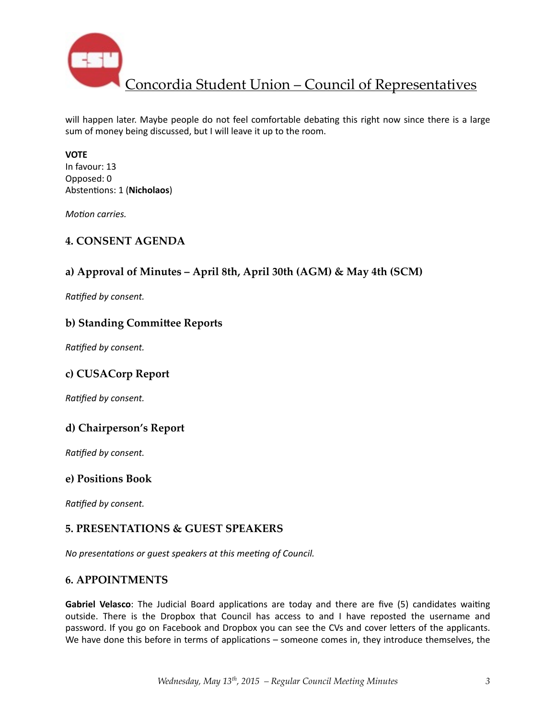

will happen later. Maybe people do not feel comfortable debating this right now since there is a large sum of money being discussed, but I will leave it up to the room.

#### **VOTE**

In favour: 13 Opposed: 0 Abstentions: 1 (Nicholaos)

*Motion carries.* 

### **4. CONSENT AGENDA**

## **a) Approval of Minutes – April 8th, April 30th (AGM) & May 4th (SCM)**

**Ratified by consent.** 

#### **b) Standing Committee Reports**

**Ratified by consent.** 

### **c) CUSACorp Report**

**Ratified by consent.** 

### **d) Chairperson's Report**

**Ratified by consent.** 

#### **e) Positions Book**

**Ratified by consent.** 

### **5. PRESENTATIONS & GUEST SPEAKERS**

*No presentations or guest speakers at this meeting of Council.* 

#### **6. APPOINTMENTS**

**Gabriel Velasco**: The Judicial Board applications are today and there are five (5) candidates waiting outside. There is the Dropbox that Council has access to and I have reposted the username and password. If you go on Facebook and Dropbox you can see the CVs and cover letters of the applicants. We have done this before in terms of applications – someone comes in, they introduce themselves, the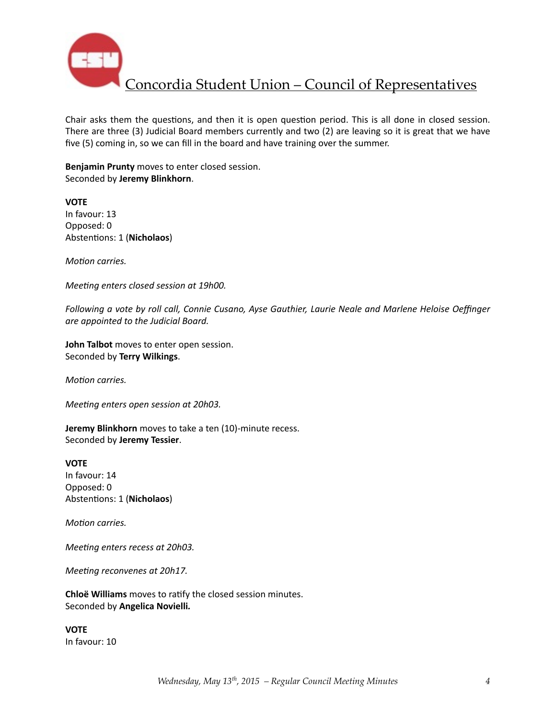

Chair asks them the questions, and then it is open question period. This is all done in closed session. There are three (3) Judicial Board members currently and two (2) are leaving so it is great that we have five (5) coming in, so we can fill in the board and have training over the summer.

**Benjamin Prunty** moves to enter closed session. Seconded by **Jeremy Blinkhorn**. 

**VOTE**  In favour: 13 Opposed: 0 Abstentions: 1 (Nicholaos)

*Motion carries.* 

*Meeting enters closed session at 19h00.* 

Following a vote by roll call, Connie Cusano, Ayse Gauthier, Laurie Neale and Marlene Heloise Oeffinger *are appointed to the Judicial Board.* 

**John Talbot** moves to enter open session. Seconded by **Terry Wilkings**. 

*Motion carries.* 

*Meeting enters open session at 20h03.* 

**Jeremy Blinkhorn** moves to take a ten (10)-minute recess. Seconded by **Jeremy Tessier**. 

**VOTE** In favour: 14 Opposed: 0 Abstentions: 1 (Nicholaos)

*Motion carries.* 

*Meeting enters recess at 20h03.* 

*Meeting reconvenes at 20h17.* 

**Chloë Williams** moves to ratify the closed session minutes. Seconded by **Angelica Novielli***.* 

**VOTE**  In favour: 10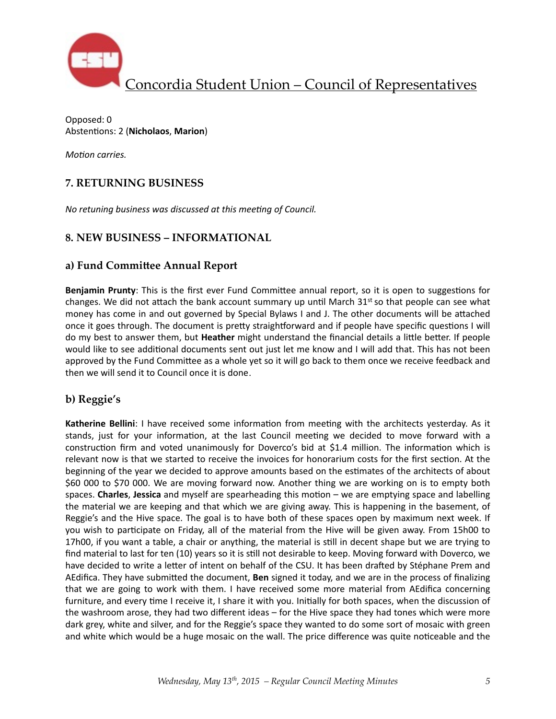

Opposed: 0 Abstentions: 2 (Nicholaos, Marion)

*Motion carries.* 

## **7. RETURNING BUSINESS**

*No retuning business was discussed at this meeting of Council.* 

### **8. NEW BUSINESS – INFORMATIONAL**

### a) Fund Committee Annual Report

**Benjamin Prunty**: This is the first ever Fund Committee annual report, so it is open to suggestions for changes. We did not attach the bank account summary up until March  $31<sup>st</sup>$  so that people can see what money has come in and out governed by Special Bylaws I and J. The other documents will be attached once it goes through. The document is pretty straightforward and if people have specific questions I will do my best to answer them, but **Heather** might understand the financial details a little better. If people would like to see additional documents sent out just let me know and I will add that. This has not been approved by the Fund Committee as a whole yet so it will go back to them once we receive feedback and then we will send it to Council once it is done.

## **b) Reggie's**

Katherine Bellini: I have received some information from meeting with the architects yesterday. As it stands, just for your information, at the last Council meeting we decided to move forward with a construction firm and voted unanimously for Doverco's bid at \$1.4 million. The information which is relevant now is that we started to receive the invoices for honorarium costs for the first section. At the beginning of the year we decided to approve amounts based on the estimates of the architects of about \$60 000 to \$70 000. We are moving forward now. Another thing we are working on is to empty both spaces. **Charles**, Jessica and myself are spearheading this motion – we are emptying space and labelling the material we are keeping and that which we are giving away. This is happening in the basement, of Reggie's and the Hive space. The goal is to have both of these spaces open by maximum next week. If you wish to participate on Friday, all of the material from the Hive will be given away. From 15h00 to 17h00, if you want a table, a chair or anything, the material is still in decent shape but we are trying to find material to last for ten (10) years so it is still not desirable to keep. Moving forward with Doverco, we have decided to write a letter of intent on behalf of the CSU. It has been drafted by Stéphane Prem and AEdifica. They have submitted the document, **Ben** signed it today, and we are in the process of finalizing that we are going to work with them. I have received some more material from AEdifica concerning furniture, and every time I receive it, I share it with you. Initially for both spaces, when the discussion of the washroom arose, they had two different ideas  $-$  for the Hive space they had tones which were more dark grey, white and silver, and for the Reggie's space they wanted to do some sort of mosaic with green and white which would be a huge mosaic on the wall. The price difference was quite noticeable and the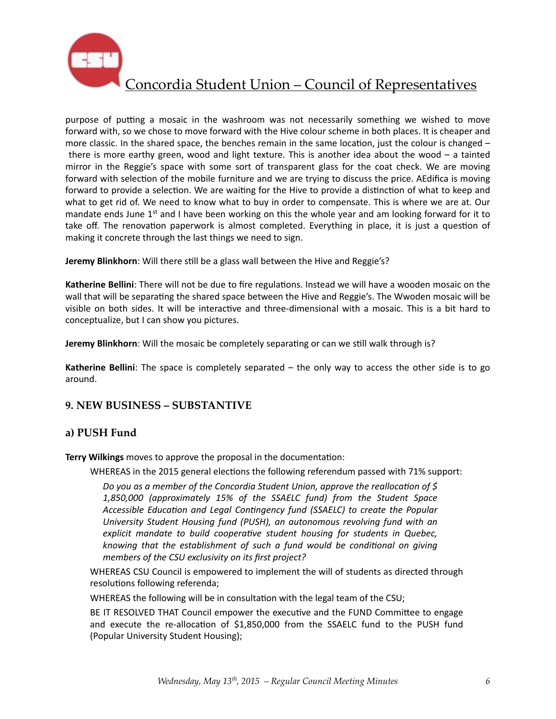

purpose of putting a mosaic in the washroom was not necessarily something we wished to move forward with, so we chose to move forward with the Hive colour scheme in both places. It is cheaper and more classic. In the shared space, the benches remain in the same location, just the colour is changed  $$ there is more earthy green, wood and light texture. This is another idea about the wood  $-$  a tainted mirror in the Reggie's space with some sort of transparent glass for the coat check. We are moving forward with selection of the mobile furniture and we are trying to discuss the price. AEdifica is moving forward to provide a selection. We are waiting for the Hive to provide a distinction of what to keep and what to get rid of. We need to know what to buy in order to compensate. This is where we are at. Our mandate ends June  $1<sup>st</sup>$  and I have been working on this the whole year and am looking forward for it to take off. The renovation paperwork is almost completed. Everything in place, it is just a question of making it concrete through the last things we need to sign.

**Jeremy Blinkhorn**: Will there still be a glass wall between the Hive and Reggie's?

Katherine Bellini: There will not be due to fire regulations. Instead we will have a wooden mosaic on the wall that will be separating the shared space between the Hive and Reggie's. The Wwoden mosaic will be visible on both sides. It will be interactive and three-dimensional with a mosaic. This is a bit hard to conceptualize, but I can show you pictures.

**Jeremy Blinkhorn**: Will the mosaic be completely separating or can we still walk through is?

**Katherine Bellini**: The space is completely separated  $-$  the only way to access the other side is to go around. 

### **9. NEW BUSINESS – SUBSTANTIVE**

### **a) PUSH Fund**

**Terry Wilkings** moves to approve the proposal in the documentation:

WHEREAS in the 2015 general elections the following referendum passed with 71% support:

*Do* you as a member of the Concordia Student Union, approve the reallocation of \$ *1,850,000 (approximately 15% of the SSAELC fund) from the Student Space*  Accessible Education and Legal Contingency fund (SSAELC) to create the Popular University Student Housing fund (PUSH), an autonomous revolving fund with an explicit mandate to build cooperative student housing for students in Quebec, *knowing* that the establishment of such a fund would be conditional on giving *members of the CSU exclusivity on its first project?* 

WHEREAS CSU Council is empowered to implement the will of students as directed through resolutions following referenda;

WHEREAS the following will be in consultation with the legal team of the CSU;

BE IT RESOLVED THAT Council empower the executive and the FUND Committee to engage and execute the re-allocation of  $$1,850,000$  from the SSAELC fund to the PUSH fund (Popular University Student Housing);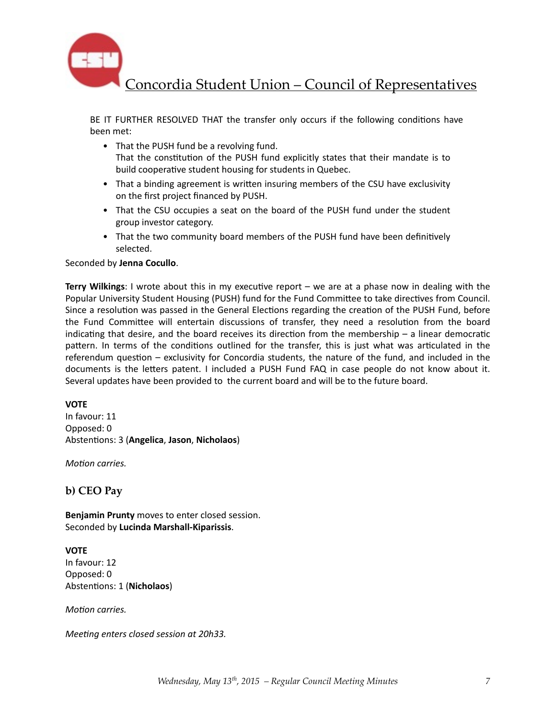

BE IT FURTHER RESOLVED THAT the transfer only occurs if the following conditions have been met: 

- That the PUSH fund be a revolving fund. That the constitution of the PUSH fund explicitly states that their mandate is to build cooperative student housing for students in Quebec.
- That a binding agreement is written insuring members of the CSU have exclusivity on the first project financed by PUSH.
- That the CSU occupies a seat on the board of the PUSH fund under the student group investor category.
- That the two community board members of the PUSH fund have been definitively selected.

#### Seconded by **Jenna Cocullo**.

**Terry Wilkings**: I wrote about this in my executive report – we are at a phase now in dealing with the Popular University Student Housing (PUSH) fund for the Fund Committee to take directives from Council. Since a resolution was passed in the General Elections regarding the creation of the PUSH Fund, before the Fund Committee will entertain discussions of transfer, they need a resolution from the board indicating that desire, and the board receives its direction from the membership  $-$  a linear democratic pattern. In terms of the conditions outlined for the transfer, this is just what was articulated in the referendum question  $-$  exclusivity for Concordia students, the nature of the fund, and included in the documents is the letters patent. I included a PUSH Fund FAQ in case people do not know about it. Several updates have been provided to the current board and will be to the future board.

#### **VOTE**

In favour: 11 Opposed: 0 Abstentions: 3 (Angelica, Jason, Nicholaos)

*Motion carries.* 

#### **b) CEO Pay**

**Benjamin Prunty** moves to enter closed session. Seconded by **Lucinda Marshall-Kiparissis**. 

**VOTE**  In favour: 12 Opposed: 0 Abstentions: 1 (Nicholaos)

*Motion carries.* 

*Meeting enters closed session at 20h33.*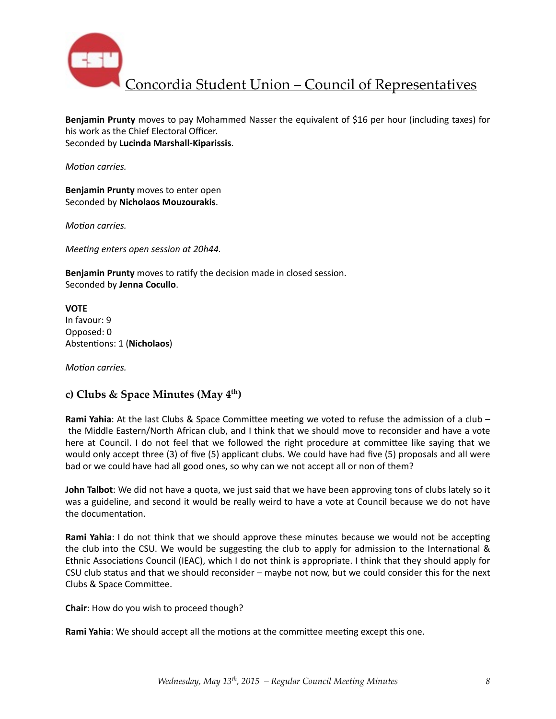

**Benjamin Prunty** moves to pay Mohammed Nasser the equivalent of \$16 per hour (including taxes) for his work as the Chief Electoral Officer. Seconded by **Lucinda Marshall-Kiparissis**. 

*Motion carries.* 

**Benjamin Prunty** moves to enter open Seconded by **Nicholaos Mouzourakis**. 

*Motion carries.* 

*Meeting enters open session at 20h44.* 

**Benjamin Prunty** moves to ratify the decision made in closed session. Seconded by **Jenna Cocullo**. 

**VOTE**  In favour: 9 Opposed: 0 Abstentions: 1 (Nicholaos)

*Motion carries.* 

### **c) Clubs & Space Minutes (May 4th)**

**Rami Yahia**: At the last Clubs & Space Committee meeting we voted to refuse the admission of a club – the Middle Eastern/North African club, and I think that we should move to reconsider and have a vote here at Council. I do not feel that we followed the right procedure at committee like saying that we would only accept three (3) of five (5) applicant clubs. We could have had five (5) proposals and all were bad or we could have had all good ones, so why can we not accept all or non of them?

**John Talbot**: We did not have a quota, we just said that we have been approving tons of clubs lately so it was a guideline, and second it would be really weird to have a vote at Council because we do not have the documentation.

**Rami Yahia**: I do not think that we should approve these minutes because we would not be accepting the club into the CSU. We would be suggesting the club to apply for admission to the International & Ethnic Associations Council (IEAC), which I do not think is appropriate. I think that they should apply for CSU club status and that we should reconsider – maybe not now, but we could consider this for the next Clubs & Space Committee.

**Chair:** How do you wish to proceed though?

**Rami Yahia**: We should accept all the motions at the committee meeting except this one.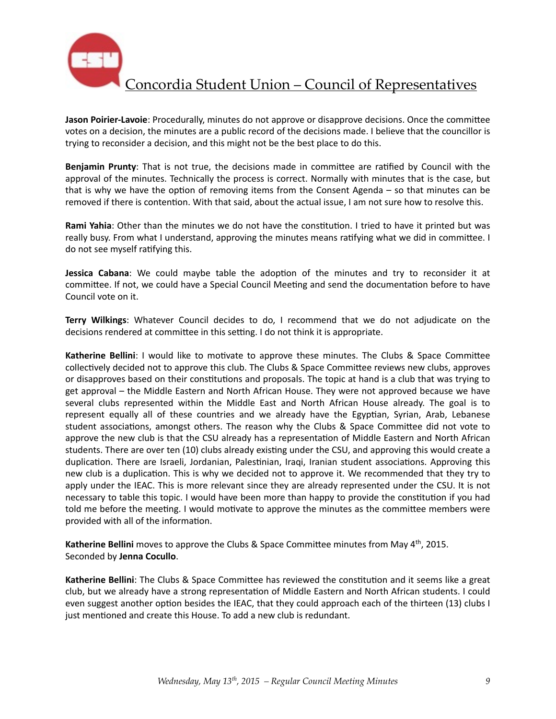

**Jason Poirier-Lavoie**: Procedurally, minutes do not approve or disapprove decisions. Once the committee votes on a decision, the minutes are a public record of the decisions made. I believe that the councillor is trying to reconsider a decision, and this might not be the best place to do this.

**Benjamin Prunty**: That is not true, the decisions made in committee are ratified by Council with the approval of the minutes. Technically the process is correct. Normally with minutes that is the case, but that is why we have the option of removing items from the Consent Agenda – so that minutes can be removed if there is contention. With that said, about the actual issue, I am not sure how to resolve this.

**Rami Yahia**: Other than the minutes we do not have the constitution. I tried to have it printed but was really busy. From what I understand, approving the minutes means ratifying what we did in committee. I do not see myself ratifying this.

**Jessica Cabana**: We could maybe table the adoption of the minutes and try to reconsider it at committee. If not, we could have a Special Council Meeting and send the documentation before to have Council vote on it.

**Terry Wilkings:** Whatever Council decides to do, I recommend that we do not adjudicate on the decisions rendered at committee in this setting. I do not think it is appropriate.

**Katherine Bellini**: I would like to motivate to approve these minutes. The Clubs & Space Committee collectively decided not to approve this club. The Clubs & Space Committee reviews new clubs, approves or disapproves based on their constitutions and proposals. The topic at hand is a club that was trying to get approval – the Middle Eastern and North African House. They were not approved because we have several clubs represented within the Middle East and North African House already. The goal is to represent equally all of these countries and we already have the Egyptian, Syrian, Arab, Lebanese student associations, amongst others. The reason why the Clubs & Space Committee did not vote to approve the new club is that the CSU already has a representation of Middle Eastern and North African students. There are over ten (10) clubs already existing under the CSU, and approving this would create a duplication. There are Israeli, Jordanian, Palestinian, Iraqi, Iranian student associations. Approving this new club is a duplication. This is why we decided not to approve it. We recommended that they try to apply under the IEAC. This is more relevant since they are already represented under the CSU. It is not necessary to table this topic. I would have been more than happy to provide the constitution if you had told me before the meeting. I would motivate to approve the minutes as the committee members were provided with all of the information.

**Katherine Bellini** moves to approve the Clubs & Space Committee minutes from May 4<sup>th</sup>, 2015. Seconded by **Jenna Cocullo**. 

Katherine Bellini: The Clubs & Space Committee has reviewed the constitution and it seems like a great club, but we already have a strong representation of Middle Eastern and North African students. I could even suggest another option besides the IEAC, that they could approach each of the thirteen (13) clubs I just mentioned and create this House. To add a new club is redundant.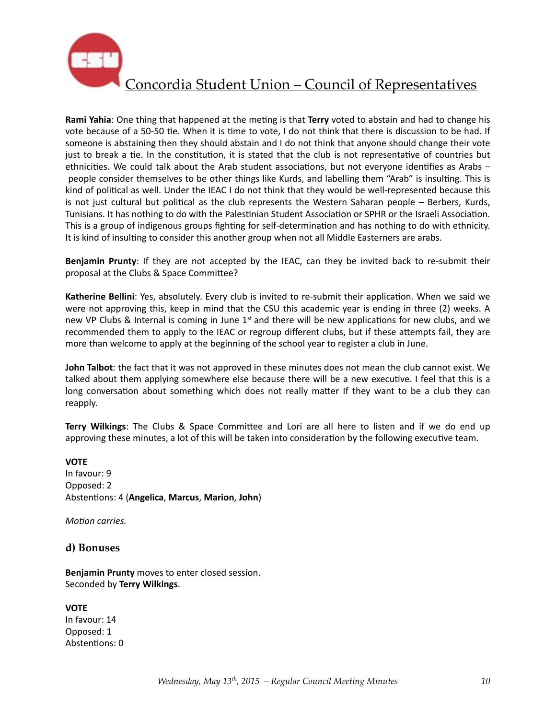

**Rami Yahia**: One thing that happened at the meting is that **Terry** voted to abstain and had to change his vote because of a 50-50 tie. When it is time to vote, I do not think that there is discussion to be had. If someone is abstaining then they should abstain and I do not think that anyone should change their vote just to break a tie. In the constitution, it is stated that the club is not representative of countries but ethnicities. We could talk about the Arab student associations, but not everyone identifies as Arabs – people consider themselves to be other things like Kurds, and labelling them "Arab" is insulting. This is kind of political as well. Under the IEAC I do not think that they would be well-represented because this is not just cultural but political as the club represents the Western Saharan people  $-$  Berbers, Kurds, Tunisians. It has nothing to do with the Palestinian Student Association or SPHR or the Israeli Association. This is a group of indigenous groups fighting for self-determination and has nothing to do with ethnicity. It is kind of insulting to consider this another group when not all Middle Easterners are arabs.

**Benjamin Prunty**: If they are not accepted by the IEAC, can they be invited back to re-submit their proposal at the Clubs & Space Committee?

**Katherine Bellini**: Yes, absolutely. Every club is invited to re-submit their application. When we said we were not approving this, keep in mind that the CSU this academic year is ending in three (2) weeks. A new VP Clubs & Internal is coming in June  $1<sup>st</sup>$  and there will be new applications for new clubs, and we recommended them to apply to the IEAC or regroup different clubs, but if these attempts fail, they are more than welcome to apply at the beginning of the school year to register a club in June.

**John Talbot**: the fact that it was not approved in these minutes does not mean the club cannot exist. We talked about them applying somewhere else because there will be a new executive. I feel that this is a long conversation about something which does not really matter If they want to be a club they can reapply. 

**Terry Wilkings**: The Clubs & Space Committee and Lori are all here to listen and if we do end up approving these minutes, a lot of this will be taken into consideration by the following executive team.

#### **VOTE**

In favour: 9 Opposed: 2 Abstentions: 4 (Angelica, Marcus, Marion, John)

*Motion carries.* 

#### **d) Bonuses**

**Benjamin Prunty** moves to enter closed session. Seconded by **Terry Wilkings**. 

#### **VOTE**

In favour: 14 Opposed: 1 Abstentions: 0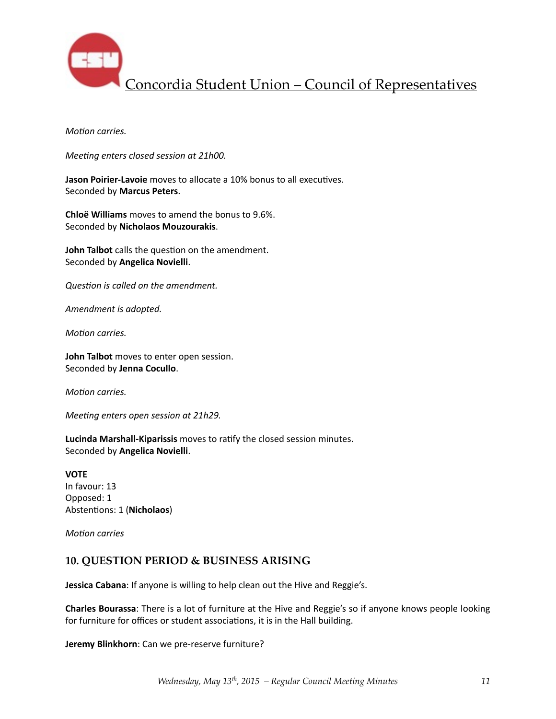

*Motion carries.* 

*Meeting enters closed session at 21h00.* 

**Jason Poirier-Lavoie** moves to allocate a 10% bonus to all executives. Seconded by **Marcus Peters**. 

**Chloë Williams** moves to amend the bonus to 9.6%. Seconded by **Nicholaos Mouzourakis**. 

**John Talbot** calls the question on the amendment. Seconded by **Angelica Novielli**. 

**Question is called on the amendment.** 

**Amendment** is adopted.

*Motion carries.* 

**John Talbot** moves to enter open session. Seconded by **Jenna Cocullo**. 

*Motion carries.* 

*Meeting enters open session at 21h29.* 

Lucinda Marshall-Kiparissis moves to ratify the closed session minutes. Seconded by **Angelica Novielli**. 

**VOTE** In favour: 13 Opposed: 1 Abstentions: 1 (Nicholaos)

*Motion* carries

#### **10. QUESTION PERIOD & BUSINESS ARISING**

**Jessica Cabana**: If anyone is willing to help clean out the Hive and Reggie's.

**Charles Bourassa**: There is a lot of furniture at the Hive and Reggie's so if anyone knows people looking for furniture for offices or student associations, it is in the Hall building.

**Jeremy Blinkhorn**: Can we pre-reserve furniture?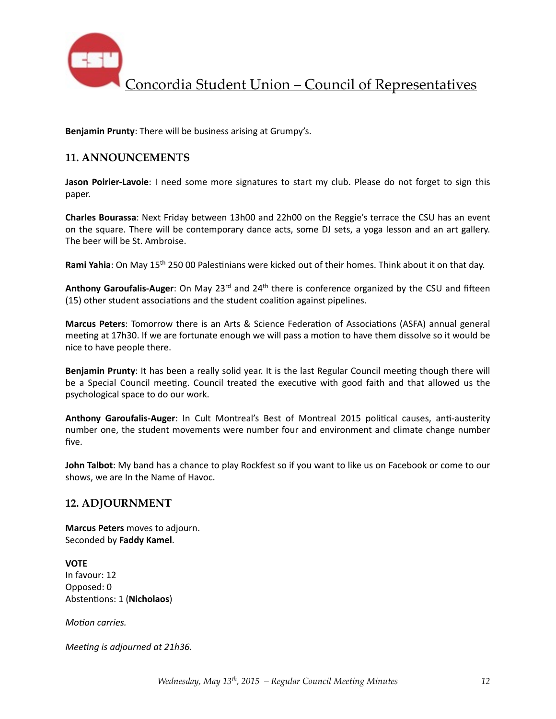

**Benjamin Prunty:** There will be business arising at Grumpy's.

### **11. ANNOUNCEMENTS**

**Jason Poirier-Lavoie**: I need some more signatures to start my club. Please do not forget to sign this paper. 

**Charles Bourassa**: Next Friday between 13h00 and 22h00 on the Reggie's terrace the CSU has an event on the square. There will be contemporary dance acts, some DJ sets, a yoga lesson and an art gallery. The beer will be St. Ambroise.

Rami Yahia: On May 15<sup>th</sup> 250 00 Palestinians were kicked out of their homes. Think about it on that day.

Anthony Garoufalis-Auger: On May 23<sup>rd</sup> and 24<sup>th</sup> there is conference organized by the CSU and fifteen (15) other student associations and the student coalition against pipelines.

**Marcus Peters**: Tomorrow there is an Arts & Science Federation of Associations (ASFA) annual general meeting at 17h30. If we are fortunate enough we will pass a motion to have them dissolve so it would be nice to have people there.

**Benjamin Prunty**: It has been a really solid year. It is the last Regular Council meeting though there will be a Special Council meeting. Council treated the executive with good faith and that allowed us the psychological space to do our work.

Anthony Garoufalis-Auger: In Cult Montreal's Best of Montreal 2015 political causes, anti-austerity number one, the student movements were number four and environment and climate change number five. 

**John Talbot**: My band has a chance to play Rockfest so if you want to like us on Facebook or come to our shows, we are In the Name of Havoc.

#### **12. ADJOURNMENT**

**Marcus Peters** moves to adjourn. Seconded by **Faddy Kamel**. 

**VOTE** In favour: 12 Opposed: 0 Abstentions: 1 (Nicholaos)

*Motion carries.* 

*Meeting is adjourned at 21h36.*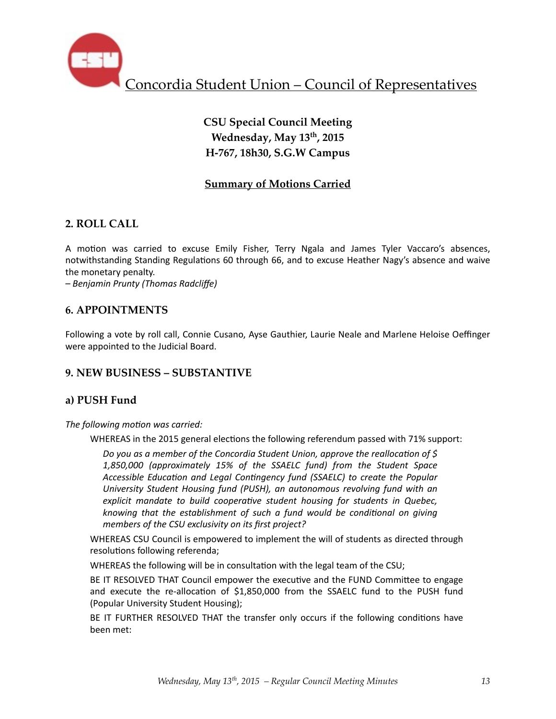

# **CSU Special Council Meeting Wednesday, May 13th, 2015 H-767, 18h30, S.G.W Campus**

## **Summary of Motions Carried**

## **2. ROLL CALL**

A motion was carried to excuse Emily Fisher, Terry Ngala and James Tyler Vaccaro's absences, notwithstanding Standing Regulations 60 through 66, and to excuse Heather Nagy's absence and waive the monetary penalty.

*– Benjamin Prunty (Thomas Radcliffe)* 

### **6. APPOINTMENTS**

Following a vote by roll call, Connie Cusano, Ayse Gauthier, Laurie Neale and Marlene Heloise Oeffinger were appointed to the Judicial Board.

### **9. NEW BUSINESS – SUBSTANTIVE**

### **a) PUSH Fund**

The following motion was carried:

WHEREAS in the 2015 general elections the following referendum passed with 71% support:

*Do you as a member of the Concordia Student Union, approve the reallocation of* \$ *1,850,000 (approximately 15% of the SSAELC fund) from the Student Space Accessible Education and Legal Contingency fund (SSAELC)* to *create the Popular* University Student Housing fund (PUSH), an autonomous revolving fund with an explicit mandate to build cooperative student housing for students in Quebec, *knowing* that the establishment of such a fund would be conditional on giving *members of the CSU exclusivity on its first project?* 

WHEREAS CSU Council is empowered to implement the will of students as directed through resolutions following referenda;

WHEREAS the following will be in consultation with the legal team of the CSU;

BE IT RESOLVED THAT Council empower the executive and the FUND Committee to engage and execute the re-allocation of  $$1,850,000$  from the SSAELC fund to the PUSH fund (Popular University Student Housing);

BE IT FURTHER RESOLVED THAT the transfer only occurs if the following conditions have been met: